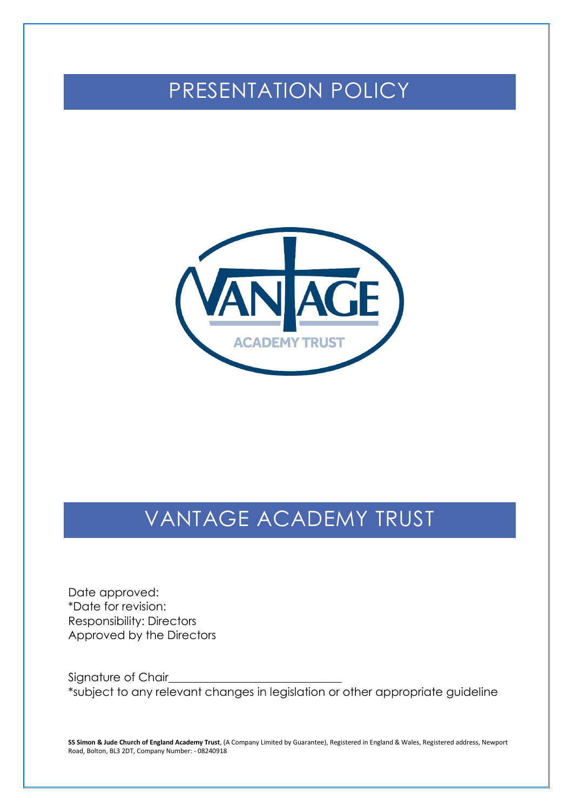## PRESENTATION POLICY



# VANTAGE ACADEMY TRUST

Date approved: \*Date for revision: Responsibility: Directors Approved by the Directors

Signature of Chair\_ \*subject to any relevant changes in legislation or other appropriate guideline

**SS Simon & Jude Church of England Academy Trust**, (A Company Limited by Guarantee), Registered in England & Wales, Registered address, Newport Road, Bolton, BL3 2DT, Company Number: - 08240918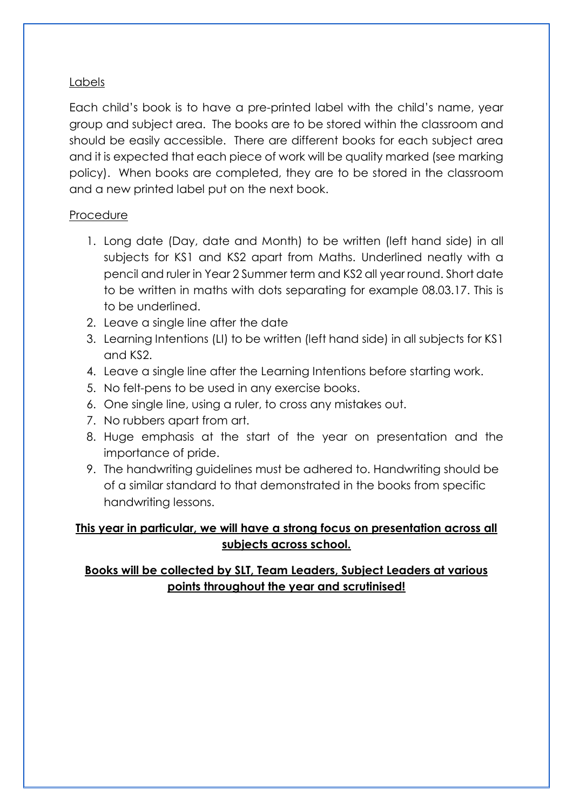#### Labels

Each child's book is to have a pre-printed label with the child's name, year group and subject area. The books are to be stored within the classroom and should be easily accessible. There are different books for each subject area and it is expected that each piece of work will be quality marked (see marking policy). When books are completed, they are to be stored in the classroom and a new printed label put on the next book.

#### Procedure

- 1. Long date (Day, date and Month) to be written (left hand side) in all subjects for KS1 and KS2 apart from Maths. Underlined neatly with a pencil and ruler in Year 2 Summer term and KS2 all year round. Short date to be written in maths with dots separating for example 08.03.17. This is to be underlined.
- 2. Leave a single line after the date
- 3. Learning Intentions (LI) to be written (left hand side) in all subjects for KS1 and KS2.
- 4. Leave a single line after the Learning Intentions before starting work.
- 5. No felt-pens to be used in any exercise books.
- 6. One single line, using a ruler, to cross any mistakes out.
- 7. No rubbers apart from art.
- 8. Huge emphasis at the start of the year on presentation and the importance of pride.
- 9. The handwriting guidelines must be adhered to. Handwriting should be of a similar standard to that demonstrated in the books from specific handwriting lessons.

### **This year in particular, we will have a strong focus on presentation across all subjects across school.**

## **Books will be collected by SLT, Team Leaders, Subject Leaders at various points throughout the year and scrutinised!**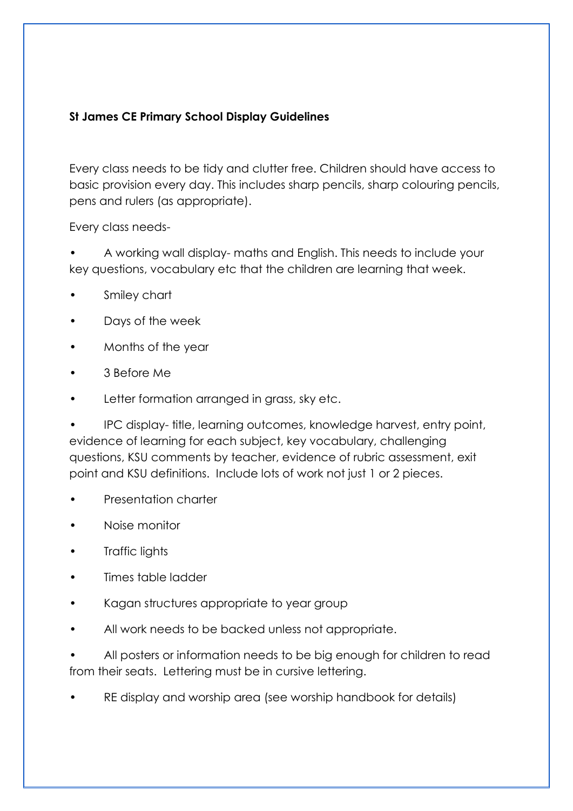#### **St James CE Primary School Display Guidelines**

Every class needs to be tidy and clutter free. Children should have access to basic provision every day. This includes sharp pencils, sharp colouring pencils, pens and rulers (as appropriate).

Every class needs-

• A working wall display- maths and English. This needs to include your key questions, vocabulary etc that the children are learning that week.

- Smiley chart
- Days of the week
- Months of the year
- 3 Before Me
- Letter formation arranged in grass, sky etc.

• IPC display- title, learning outcomes, knowledge harvest, entry point, evidence of learning for each subject, key vocabulary, challenging questions, KSU comments by teacher, evidence of rubric assessment, exit point and KSU definitions. Include lots of work not just 1 or 2 pieces.

- Presentation charter
- Noise monitor
- Traffic lights
- Times table ladder
- Kagan structures appropriate to year group
- All work needs to be backed unless not appropriate.

• All posters or information needs to be big enough for children to read from their seats. Lettering must be in cursive lettering.

RE display and worship area (see worship handbook for details)